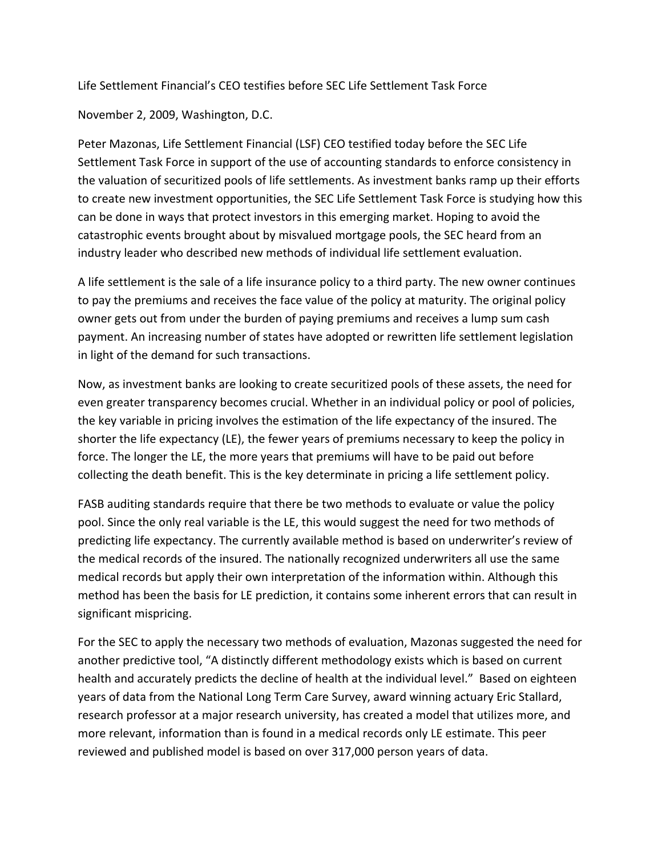Life Settlement Financial's CEO testifies before SEC Life Settlement Task Force

November 2, 2009, Washington, D.C.

Peter Mazonas, Life Settlement Financial (LSF) CEO testified today before the SEC Life Settlement Task Force in support of the use of accounting standards to enforce consistency in the valuation of securitized pools of life settlements. As investment banks ramp up their efforts to create new investment opportunities, the SEC Life Settlement Task Force is studying how this can be done in ways that protect investors in this emerging market. Hoping to avoid the catastrophic events brought about by misvalued mortgage pools, the SEC heard from an industry leader who described new methods of individual life settlement evaluation.

A life settlement is the sale of a life insurance policy to a third party. The new owner continues to pay the premiums and receives the face value of the policy at maturity. The original policy owner gets out from under the burden of paying premiums and receives a lump sum cash payment. An increasing number of states have adopted or rewritten life settlement legislation in light of the demand for such transactions.

Now, as investment banks are looking to create securitized pools of these assets, the need for even greater transparency becomes crucial. Whether in an individual policy or pool of policies, the key variable in pricing involves the estimation of the life expectancy of the insured. The shorter the life expectancy (LE), the fewer years of premiums necessary to keep the policy in force. The longer the LE, the more years that premiums will have to be paid out before collecting the death benefit. This is the key determinate in pricing a life settlement policy.

FASB auditing standards require that there be two methods to evaluate or value the policy pool. Since the only real variable is the LE, this would suggest the need for two methods of predicting life expectancy. The currently available method is based on underwriter's review of the medical records of the insured. The nationally recognized underwriters all use the same medical records but apply their own interpretation of the information within. Although this method has been the basis for LE prediction, it contains some inherent errors that can result in significant mispricing.

For the SEC to apply the necessary two methods of evaluation, Mazonas suggested the need for another predictive tool, "A distinctly different methodology exists which is based on current health and accurately predicts the decline of health at the individual level." Based on eighteen years of data from the National Long Term Care Survey, award winning actuary Eric Stallard, research professor at a major research university, has created a model that utilizes more, and more relevant, information than is found in a medical records only LE estimate. This peer reviewed and published model is based on over 317,000 person years of data.